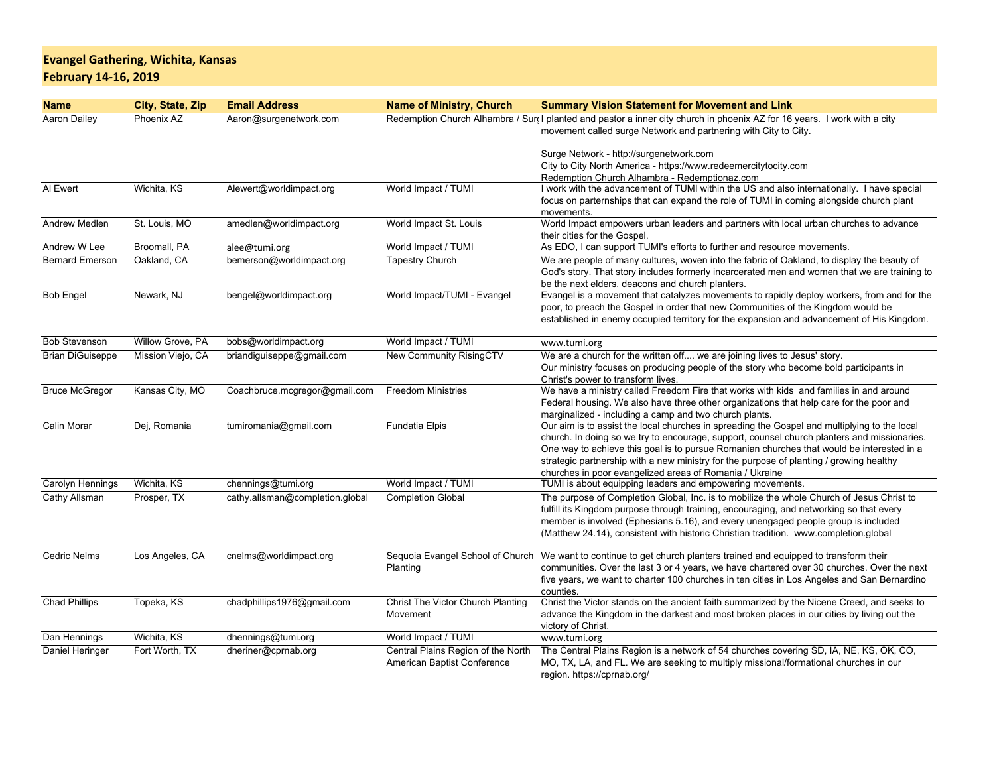## **Evangel Gathering, Wichita, KansasFebruary 14-16, 2019**

| <b>Name</b>             | City, State, Zip  | <b>Email Address</b>            | <b>Name of Ministry, Church</b>                                   | <b>Summary Vision Statement for Movement and Link</b>                                                                                                                                                                                                                                                                                                                                                                                          |
|-------------------------|-------------------|---------------------------------|-------------------------------------------------------------------|------------------------------------------------------------------------------------------------------------------------------------------------------------------------------------------------------------------------------------------------------------------------------------------------------------------------------------------------------------------------------------------------------------------------------------------------|
| Aaron Dailey            | Phoenix AZ        | Aaron@surgenetwork.com          |                                                                   | Redemption Church Alhambra / Surc I planted and pastor a inner city church in phoenix AZ for 16 years. I work with a city<br>movement called surge Network and partnering with City to City.                                                                                                                                                                                                                                                   |
|                         |                   |                                 |                                                                   | Surge Network - http://surgenetwork.com<br>City to City North America - https://www.redeemercitytocity.com<br>Redemption Church Alhambra - Redemptionaz.com                                                                                                                                                                                                                                                                                    |
| Al Ewert                | Wichita, KS       | Alewert@worldimpact.org         | World Impact / TUMI                                               | I work with the advancement of TUMI within the US and also internationally. I have special<br>focus on parternships that can expand the role of TUMI in coming alongside church plant<br>movements.                                                                                                                                                                                                                                            |
| Andrew Medlen           | St. Louis, MO     | amedlen@worldimpact.org         | World Impact St. Louis                                            | World Impact empowers urban leaders and partners with local urban churches to advance<br>their cities for the Gospel.                                                                                                                                                                                                                                                                                                                          |
| Andrew W Lee            | Broomall, PA      | alee@tumi.org                   | World Impact / TUMI                                               | As EDO, I can support TUMI's efforts to further and resource movements.                                                                                                                                                                                                                                                                                                                                                                        |
| <b>Bernard Emerson</b>  | Oakland, CA       | bemerson@worldimpact.org        | <b>Tapestry Church</b>                                            | We are people of many cultures, woven into the fabric of Oakland, to display the beauty of<br>God's story. That story includes formerly incarcerated men and women that we are training to<br>be the next elders, deacons and church planters.                                                                                                                                                                                                 |
| <b>Bob Engel</b>        | Newark, NJ        | bengel@worldimpact.org          | World Impact/TUMI - Evangel                                       | Evangel is a movement that catalyzes movements to rapidly deploy workers, from and for the<br>poor, to preach the Gospel in order that new Communities of the Kingdom would be<br>established in enemy occupied territory for the expansion and advancement of His Kingdom.                                                                                                                                                                    |
| <b>Bob Stevenson</b>    | Willow Grove, PA  | bobs@worldimpact.org            | World Impact / TUMI                                               | www.tumi.org                                                                                                                                                                                                                                                                                                                                                                                                                                   |
| <b>Brian DiGuiseppe</b> | Mission Viejo, CA | briandiguiseppe@gmail.com       | New Community RisingCTV                                           | We are a church for the written off we are joining lives to Jesus' story.<br>Our ministry focuses on producing people of the story who become bold participants in<br>Christ's power to transform lives.                                                                                                                                                                                                                                       |
| <b>Bruce McGregor</b>   | Kansas City, MO   | Coachbruce.mcgregor@gmail.com   | <b>Freedom Ministries</b>                                         | We have a ministry called Freedom Fire that works with kids and families in and around<br>Federal housing. We also have three other organizations that help care for the poor and<br>marginalized - including a camp and two church plants.                                                                                                                                                                                                    |
| Calin Morar             | Dej, Romania      | tumiromania@gmail.com           | <b>Fundatia Elpis</b>                                             | Our aim is to assist the local churches in spreading the Gospel and multiplying to the local<br>church. In doing so we try to encourage, support, counsel church planters and missionaries.<br>One way to achieve this goal is to pursue Romanian churches that would be interested in a<br>strategic partnership with a new ministry for the purpose of planting / growing healthy<br>churches in poor evangelized areas of Romania / Ukraine |
| Carolyn Hennings        | Wichita, KS       | chennings@tumi.org              | World Impact / TUMI                                               | TUMI is about equipping leaders and empowering movements.                                                                                                                                                                                                                                                                                                                                                                                      |
| Cathy Allsman           | Prosper, TX       | cathy.allsman@completion.global | <b>Completion Global</b>                                          | The purpose of Completion Global, Inc. is to mobilize the whole Church of Jesus Christ to<br>fulfill its Kingdom purpose through training, encouraging, and networking so that every<br>member is involved (Ephesians 5.16), and every unengaged people group is included<br>(Matthew 24.14), consistent with historic Christian tradition. www.completion.global                                                                              |
| <b>Cedric Nelms</b>     | Los Angeles, CA   | cnelms@worldimpact.org          | Sequoia Evangel School of Church<br>Planting                      | We want to continue to get church planters trained and equipped to transform their<br>communities. Over the last 3 or 4 years, we have chartered over 30 churches. Over the next<br>five years, we want to charter 100 churches in ten cities in Los Angeles and San Bernardino<br>counties.                                                                                                                                                   |
| <b>Chad Phillips</b>    | Topeka, KS        | chadphillips1976@gmail.com      | Christ The Victor Church Planting<br>Movement                     | Christ the Victor stands on the ancient faith summarized by the Nicene Creed, and seeks to<br>advance the Kingdom in the darkest and most broken places in our cities by living out the<br>victory of Christ.                                                                                                                                                                                                                                  |
| Dan Hennings            | Wichita, KS       | dhennings@tumi.org              | World Impact / TUMI                                               | www.tumi.org                                                                                                                                                                                                                                                                                                                                                                                                                                   |
| Daniel Heringer         | Fort Worth, TX    | dheriner@cprnab.org             | Central Plains Region of the North<br>American Baptist Conference | The Central Plains Region is a network of 54 churches covering SD, IA, NE, KS, OK, CO,<br>MO, TX, LA, and FL. We are seeking to multiply missional/formational churches in our<br>region. https://cprnab.org/                                                                                                                                                                                                                                  |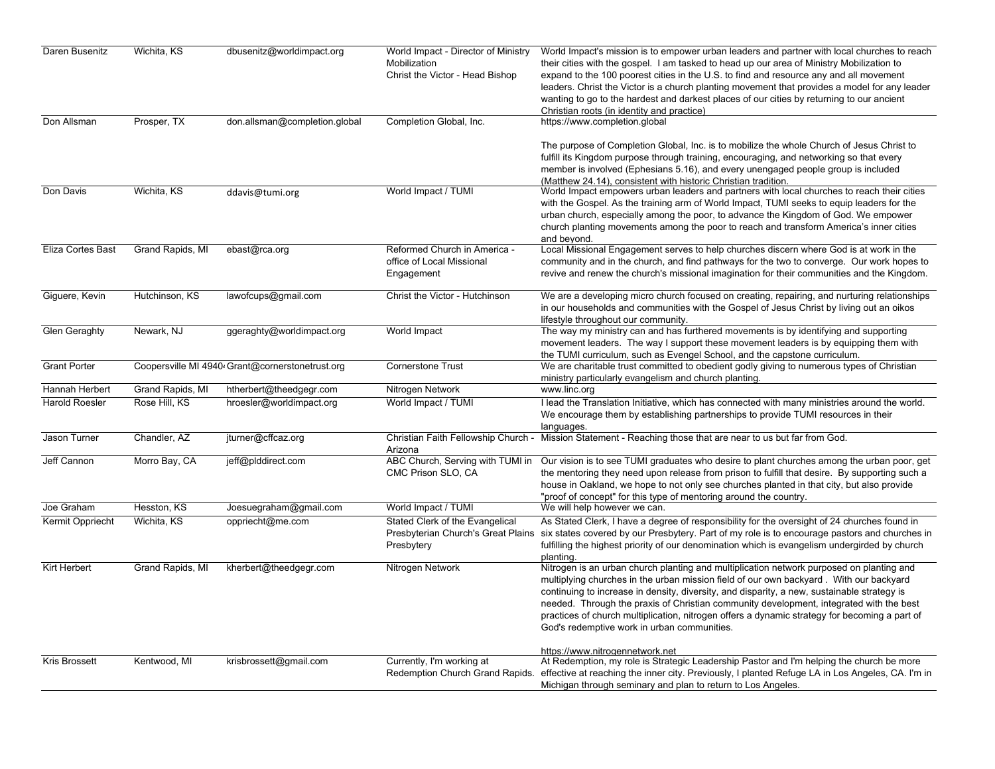| Daren Busenitz       | Wichita, KS      | dbusenitz@worldimpact.org                       | World Impact - Director of Ministry<br>Mobilization<br>Christ the Victor - Head Bishop | World Impact's mission is to empower urban leaders and partner with local churches to reach<br>their cities with the gospel. I am tasked to head up our area of Ministry Mobilization to<br>expand to the 100 poorest cities in the U.S. to find and resource any and all movement<br>leaders. Christ the Victor is a church planting movement that provides a model for any leader<br>wanting to go to the hardest and darkest places of our cities by returning to our ancient<br>Christian roots (in identity and practice) |
|----------------------|------------------|-------------------------------------------------|----------------------------------------------------------------------------------------|--------------------------------------------------------------------------------------------------------------------------------------------------------------------------------------------------------------------------------------------------------------------------------------------------------------------------------------------------------------------------------------------------------------------------------------------------------------------------------------------------------------------------------|
| Don Allsman          | Prosper, TX      | don.allsman@completion.global                   | Completion Global, Inc.                                                                | https://www.completion.global<br>The purpose of Completion Global, Inc. is to mobilize the whole Church of Jesus Christ to                                                                                                                                                                                                                                                                                                                                                                                                     |
|                      |                  |                                                 |                                                                                        | fulfill its Kingdom purpose through training, encouraging, and networking so that every<br>member is involved (Ephesians 5.16), and every unengaged people group is included<br>(Matthew 24.14), consistent with historic Christian tradition.                                                                                                                                                                                                                                                                                 |
| Don Davis            | Wichita, KS      | ddavis@tumi.org                                 | World Impact / TUMI                                                                    | World Impact empowers urban leaders and partners with local churches to reach their cities<br>with the Gospel. As the training arm of World Impact, TUMI seeks to equip leaders for the<br>urban church, especially among the poor, to advance the Kingdom of God. We empower<br>church planting movements among the poor to reach and transform America's inner cities<br>and beyond.                                                                                                                                         |
| Eliza Cortes Bast    | Grand Rapids, MI | ebast@rca.org                                   | Reformed Church in America -<br>office of Local Missional<br>Engagement                | Local Missional Engagement serves to help churches discern where God is at work in the<br>community and in the church, and find pathways for the two to converge. Our work hopes to<br>revive and renew the church's missional imagination for their communities and the Kingdom.                                                                                                                                                                                                                                              |
| Giguere, Kevin       | Hutchinson, KS   | lawofcups@gmail.com                             | Christ the Victor - Hutchinson                                                         | We are a developing micro church focused on creating, repairing, and nurturing relationships<br>in our households and communities with the Gospel of Jesus Christ by living out an oikos<br>lifestyle throughout our community.                                                                                                                                                                                                                                                                                                |
| Glen Geraghty        | Newark, NJ       | ggeraghty@worldimpact.org                       | World Impact                                                                           | The way my ministry can and has furthered movements is by identifying and supporting<br>movement leaders. The way I support these movement leaders is by equipping them with<br>the TUMI curriculum, such as Evengel School, and the capstone curriculum.                                                                                                                                                                                                                                                                      |
| <b>Grant Porter</b>  |                  | Coopersville MI 4940 Grant@cornerstonetrust.org | <b>Cornerstone Trust</b>                                                               | We are charitable trust committed to obedient godly giving to numerous types of Christian<br>ministry particularly evangelism and church planting.                                                                                                                                                                                                                                                                                                                                                                             |
| Hannah Herbert       | Grand Rapids, MI | htherbert@theedgegr.com                         | Nitrogen Network                                                                       | www.linc.org                                                                                                                                                                                                                                                                                                                                                                                                                                                                                                                   |
| Harold Roesler       | Rose Hill, KS    | hroesler@worldimpact.org                        | World Impact / TUMI                                                                    | I lead the Translation Initiative, which has connected with many ministries around the world.<br>We encourage them by establishing partnerships to provide TUMI resources in their<br>languages.                                                                                                                                                                                                                                                                                                                               |
| Jason Turner         | Chandler, AZ     | jturner@cffcaz.org                              | Arizona                                                                                | Christian Faith Fellowship Church - Mission Statement - Reaching those that are near to us but far from God.                                                                                                                                                                                                                                                                                                                                                                                                                   |
| Jeff Cannon          | Morro Bay, CA    | jeff@plddirect.com                              | CMC Prison SLO, CA                                                                     | ABC Church, Serving with TUMI in Our vision is to see TUMI graduates who desire to plant churches among the urban poor, get<br>the mentoring they need upon release from prison to fulfill that desire. By supporting such a<br>house in Oakland, we hope to not only see churches planted in that city, but also provide<br>"proof of concept" for this type of mentoring around the country.                                                                                                                                 |
| Joe Graham           | Hesston, KS      | Joesuegraham@gmail.com                          | World Impact / TUMI                                                                    | We will help however we can.                                                                                                                                                                                                                                                                                                                                                                                                                                                                                                   |
| Kermit Oppriecht     | Wichita, KS      | oppriecht@me.com                                | Stated Clerk of the Evangelical<br>Presbytery                                          | As Stated Clerk, I have a degree of responsibility for the oversight of 24 churches found in<br>Presbyterian Church's Great Plains six states covered by our Presbytery. Part of my role is to encourage pastors and churches in<br>fulfilling the highest priority of our denomination which is evangelism undergirded by church<br>planting.                                                                                                                                                                                 |
| Kirt Herbert         | Grand Rapids, MI | kherbert@theedgegr.com                          | Nitrogen Network                                                                       | Nitrogen is an urban church planting and multiplication network purposed on planting and<br>multiplying churches in the urban mission field of our own backyard. With our backyard<br>continuing to increase in density, diversity, and disparity, a new, sustainable strategy is<br>needed. Through the praxis of Christian community development, integrated with the best<br>practices of church multiplication, nitrogen offers a dynamic strategy for becoming a part of<br>God's redemptive work in urban communities.   |
| <b>Kris Brossett</b> | Kentwood, MI     | krisbrossett@gmail.com                          | Currently, I'm working at                                                              | https://www.nitrogennetwork.net<br>At Redemption, my role is Strategic Leadership Pastor and I'm helping the church be more<br>Redemption Church Grand Rapids. effective at reaching the inner city. Previously, I planted Refuge LA in Los Angeles, CA. I'm in<br>Michigan through seminary and plan to return to Los Angeles.                                                                                                                                                                                                |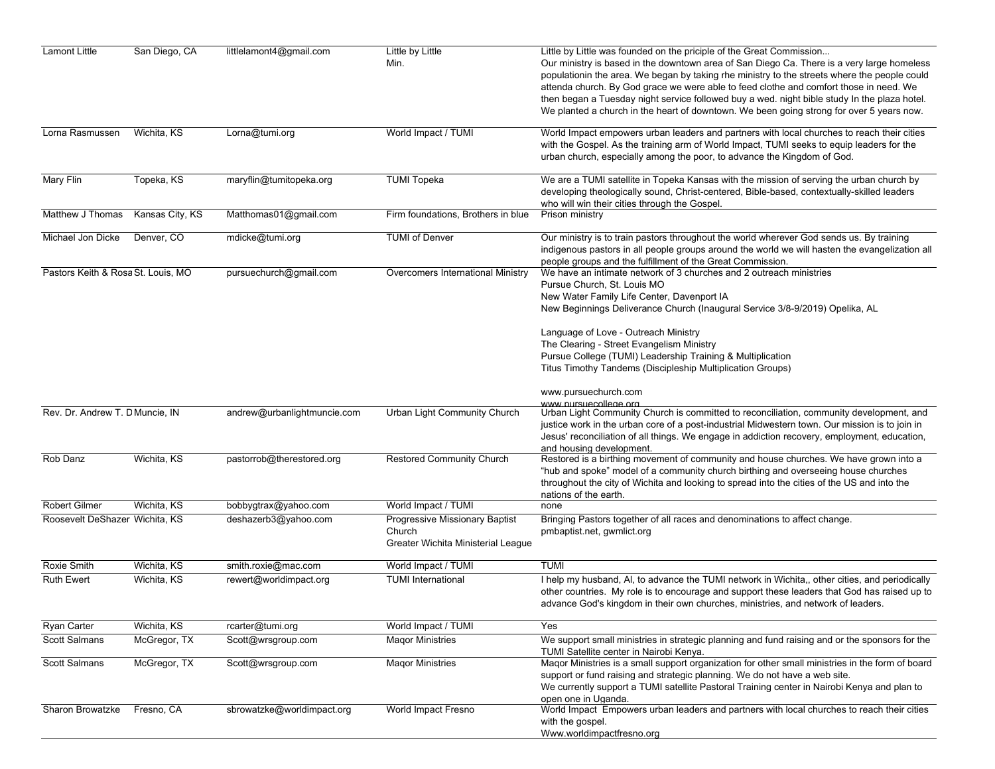| Lamont Little                      | San Diego, CA   | littlelamont4@gmail.com     | Little by Little<br>Min.                                                       | Little by Little was founded on the priciple of the Great Commission<br>Our ministry is based in the downtown area of San Diego Ca. There is a very large homeless<br>populationin the area. We began by taking rhe ministry to the streets where the people could<br>attenda church. By God grace we were able to feed clothe and comfort those in need. We<br>then began a Tuesday night service followed buy a wed. night bible study In the plaza hotel.<br>We planted a church in the heart of downtown. We been going strong for over 5 years now. |
|------------------------------------|-----------------|-----------------------------|--------------------------------------------------------------------------------|----------------------------------------------------------------------------------------------------------------------------------------------------------------------------------------------------------------------------------------------------------------------------------------------------------------------------------------------------------------------------------------------------------------------------------------------------------------------------------------------------------------------------------------------------------|
| Lorna Rasmussen                    | Wichita, KS     | Lorna@tumi.org              | World Impact / TUMI                                                            | World Impact empowers urban leaders and partners with local churches to reach their cities<br>with the Gospel. As the training arm of World Impact, TUMI seeks to equip leaders for the<br>urban church, especially among the poor, to advance the Kingdom of God.                                                                                                                                                                                                                                                                                       |
| Mary Flin                          | Topeka, KS      | maryflin@tumitopeka.org     | <b>TUMI Topeka</b>                                                             | We are a TUMI satellite in Topeka Kansas with the mission of serving the urban church by<br>developing theologically sound, Christ-centered, Bible-based, contextually-skilled leaders<br>who will win their cities through the Gospel.                                                                                                                                                                                                                                                                                                                  |
| Matthew J Thomas                   | Kansas City, KS | Matthomas01@gmail.com       | Firm foundations, Brothers in blue                                             | Prison ministry                                                                                                                                                                                                                                                                                                                                                                                                                                                                                                                                          |
| Michael Jon Dicke                  | Denver, CO      | mdicke@tumi.org             | <b>TUMI of Denver</b>                                                          | Our ministry is to train pastors throughout the world wherever God sends us. By training<br>indigenous pastors in all people groups around the world we will hasten the evangelization all<br>people groups and the fulfillment of the Great Commission.                                                                                                                                                                                                                                                                                                 |
| Pastors Keith & Rosa St. Louis, MO |                 | pursuechurch@gmail.com      | Overcomers International Ministry                                              | We have an intimate network of 3 churches and 2 outreach ministries<br>Pursue Church, St. Louis MO<br>New Water Family Life Center, Davenport IA<br>New Beginnings Deliverance Church (Inaugural Service 3/8-9/2019) Opelika, AL<br>Language of Love - Outreach Ministry<br>The Clearing - Street Evangelism Ministry<br>Pursue College (TUMI) Leadership Training & Multiplication<br>Titus Timothy Tandems (Discipleship Multiplication Groups)                                                                                                        |
| Rev. Dr. Andrew T. D Muncie, IN    |                 | andrew@urbanlightmuncie.com | Urban Light Community Church                                                   | www.pursuechurch.com<br>www.pursuecollege.org<br>Urban Light Community Church is committed to reconciliation, community development, and<br>justice work in the urban core of a post-industrial Midwestern town. Our mission is to join in<br>Jesus' reconciliation of all things. We engage in addiction recovery, employment, education,<br>and housing development.                                                                                                                                                                                   |
| Rob Danz                           | Wichita, KS     | pastorrob@therestored.org   | Restored Community Church                                                      | Restored is a birthing movement of community and house churches. We have grown into a<br>"hub and spoke" model of a community church birthing and overseeing house churches<br>throughout the city of Wichita and looking to spread into the cities of the US and into the<br>nations of the earth.                                                                                                                                                                                                                                                      |
| <b>Robert Gilmer</b>               | Wichita, KS     | bobbygtrax@yahoo.com        | World Impact / TUMI                                                            | none                                                                                                                                                                                                                                                                                                                                                                                                                                                                                                                                                     |
| Roosevelt DeShazer Wichita, KS     |                 | deshazerb3@yahoo.com        | Progressive Missionary Baptist<br>Church<br>Greater Wichita Ministerial League | Bringing Pastors together of all races and denominations to affect change.<br>pmbaptist.net, gwmlict.org                                                                                                                                                                                                                                                                                                                                                                                                                                                 |
| Roxie Smith                        | Wichita, KS     | smith.roxie@mac.com         | World Impact / TUMI                                                            | <b>TUMI</b>                                                                                                                                                                                                                                                                                                                                                                                                                                                                                                                                              |
| <b>Ruth Ewert</b>                  | Wichita, KS     | rewert@worldimpact.org      | <b>TUMI</b> International                                                      | I help my husband, AI, to advance the TUMI network in Wichita,, other cities, and periodically<br>other countries. My role is to encourage and support these leaders that God has raised up to<br>advance God's kingdom in their own churches, ministries, and network of leaders.                                                                                                                                                                                                                                                                       |
| Ryan Carter                        | Wichita, KS     | rcarter@tumi.org            | World Impact / TUMI                                                            | Yes                                                                                                                                                                                                                                                                                                                                                                                                                                                                                                                                                      |
| Scott Salmans                      | McGregor, TX    | Scott@wrsgroup.com          | <b>Magor Ministries</b>                                                        | We support small ministries in strategic planning and fund raising and or the sponsors for the<br>TUMI Satellite center in Nairobi Kenya.                                                                                                                                                                                                                                                                                                                                                                                                                |
| Scott Salmans                      | McGregor, TX    | Scott@wrsgroup.com          | <b>Maqor Ministries</b>                                                        | Maqor Ministries is a small support organization for other small ministries in the form of board<br>support or fund raising and strategic planning. We do not have a web site.<br>We currently support a TUMI satellite Pastoral Training center in Nairobi Kenya and plan to<br>open one in Uganda.                                                                                                                                                                                                                                                     |
| Sharon Browatzke                   | Fresno, CA      | sbrowatzke@worldimpact.org  | World Impact Fresno                                                            | World Impact Empowers urban leaders and partners with local churches to reach their cities<br>with the gospel.<br>Www.worldimpactfresno.org                                                                                                                                                                                                                                                                                                                                                                                                              |